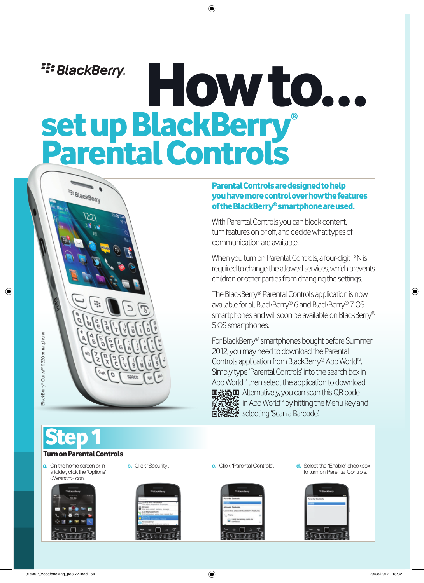# **E: BlackBerry.** How to... set up BlackBerry® Parental Controls



With Parental Controls you can block content, turn features on or off, and decide what types of communication are available.

When you turn on Parental Controls, a four-digit PIN is required to change the allowed services, which prevents children or other parties from changing the settings.

The BlackBerry® Parental Controls application is now available for all BlackBerry® 6 and BlackBerry® 7 OS smartphones and will soon be available on BlackBerry® 5 OS smartphones.

For BlackBerry® smartphones bought before Summer 2012, you may need to download the Parental Controls application from BlackBerry® App World<sup>™</sup>. Simply type 'Parental Controls' into the search box in App World™ then select the application to download. ■議録■ Alternatively, you can scan this QR code **in App World<sup>m</sup> by hitting the Menu key and electing 'Scan a Barcode'.** 

Step 1

#### Turn on Parental Controls

Et BlackBerry

וכט

a. On the home screen or in a folder, click the 'Options' <Wrench> icon.







**b.** Click 'Security'. **c.** Click 'Parental Controls'. **d.** Select the 'Enable' checkbox to turn on Parental Controls.



BlackBerry® Curve<sup>™</sup> 9320 smartphone BlackBerry® CurveTM 9320 smartphone